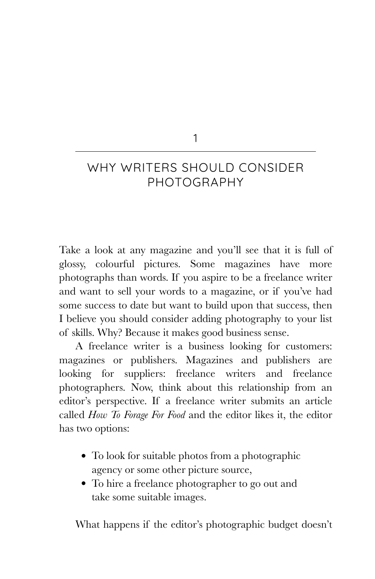### 1

# WHY WRITERS SHOULD CONSIDER PHOTOGRAPHY

Take a look at any magazine and you'll see that it is full of glossy, colourful pictures. Some magazines have more photographs than words. If you aspire to be a freelance writer and want to sell your words to a magazine, or if you've had some success to date but want to build upon that success, then I believe you should consider adding photography to your list of skills. Why? Because it makes good business sense.

A freelance writer is a business looking for customers: magazines or publishers. Magazines and publishers are looking for suppliers: freelance writers and freelance photographers. Now, think about this relationship from an editor's perspective. If a freelance writer submits an article called *How To Forage For Food* and the editor likes it, the editor has two options:

- To look for suitable photos from a photographic agency or some other picture source,
- To hire a freelance photographer to go out and take some suitable images.

What happens if the editor's photographic budget doesn't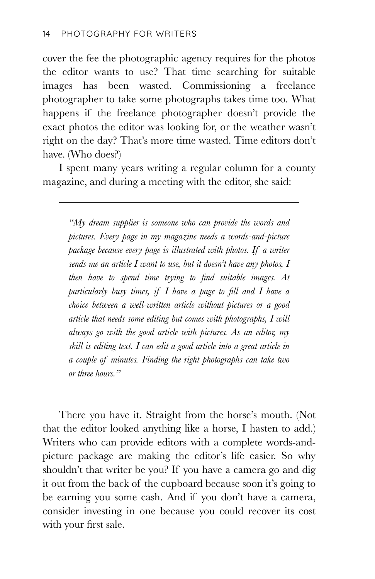cover the fee the photographic agency requires for the photos the editor wants to use? That time searching for suitable images has been wasted. Commissioning a freelance photographer to take some photographs takes time too. What happens if the freelance photographer doesn't provide the exact photos the editor was looking for, or the weather wasn't right on the day? That's more time wasted. Time editors don't have. (Who does?)

I spent many years writing a regular column for a county magazine, and during a meeting with the editor, she said:

*"My dream supplier is someone who can provide the words and pictures. Every page in my magazine needs a words-and-picture package because every page is illustrated with photos. If a writer sends me an article I want to use, but it doesn't have any photos, I then have to spend time trying to find suitable images. At particularly busy times, if I have a page to fill and I have a choice between a well-written article without pictures or a good article that needs some editing but comes with photographs, I will always go with the good article with pictures. As an editor, my skill is editing text. I can edit a good article into a great article in a couple of minutes. Finding the right photographs can take two or three hours."*

There you have it. Straight from the horse's mouth. (Not that the editor looked anything like a horse, I hasten to add.) Writers who can provide editors with a complete words-andpicture package are making the editor's life easier. So why shouldn't that writer be you? If you have a camera go and dig it out from the back of the cupboard because soon it's going to be earning you some cash. And if you don't have a camera, consider investing in one because you could recover its cost with your first sale.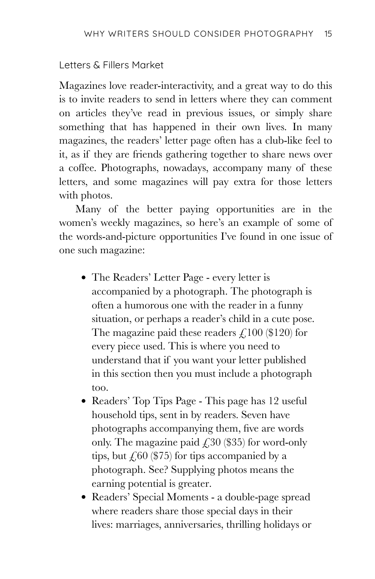#### Letters & Fillers Market

Magazines love reader-interactivity, and a great way to do this is to invite readers to send in letters where they can comment on articles they've read in previous issues, or simply share something that has happened in their own lives. In many magazines, the readers' letter page often has a club-like feel to it, as if they are friends gathering together to share news over a coffee. Photographs, nowadays, accompany many of these letters, and some magazines will pay extra for those letters with photos.

Many of the better paying opportunities are in the women's weekly magazines, so here's an example of some of the words-and-picture opportunities I've found in one issue of one such magazine:

- The Readers' Letter Page every letter is accompanied by a photograph. The photograph is often a humorous one with the reader in a funny situation, or perhaps a reader's child in a cute pose. The magazine paid these readers  $\mathcal{L}$  100 (\$120) for every piece used. This is where you need to understand that if you want your letter published in this section then you must include a photograph too.
- Readers' Top Tips Page This page has 12 useful household tips, sent in by readers. Seven have photographs accompanying them, five are words only. The magazine paid  $\angle$  30 (\$35) for word-only tips, but  $\angle 60$  (\$75) for tips accompanied by a photograph. See? Supplying photos means the earning potential is greater.
- Readers' Special Moments a double-page spread where readers share those special days in their lives: marriages, anniversaries, thrilling holidays or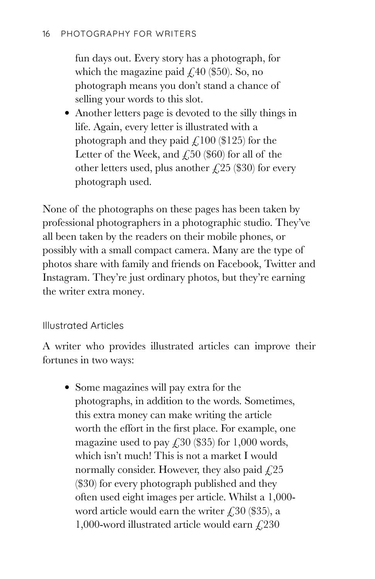fun days out. Every story has a photograph, for which the magazine paid  $\text{\textsterling}40$  (\$50). So, no photograph means you don't stand a chance of selling your words to this slot.

Another letters page is devoted to the silly things in life. Again, every letter is illustrated with a photograph and they paid  $\angle$  100 (\$125) for the Letter of the Week, and  $\angle$  50 (\$60) for all of the other letters used, plus another  $\angle$  (\$30) for every photograph used.

None of the photographs on these pages has been taken by professional photographers in a photographic studio. They've all been taken by the readers on their mobile phones, or possibly with a small compact camera. Many are the type of photos share with family and friends on Facebook, Twitter and Instagram. They're just ordinary photos, but they're earning the writer extra money.

# Illustrated Articles

A writer who provides illustrated articles can improve their fortunes in two ways:

Some magazines will pay extra for the photographs, in addition to the words. Sometimes, this extra money can make writing the article worth the effort in the first place. For example, one magazine used to pay  $\text{\textsterling}30$  (\$35) for 1,000 words, which isn't much! This is not a market I would normally consider. However, they also paid  $\angle 25$ (\$30) for every photograph published and they often used eight images per article. Whilst a 1,000 word article would earn the writer  $\angle 30$  (\$35), a 1,000-word illustrated article would earn  $\text{\emph{f}}\,230$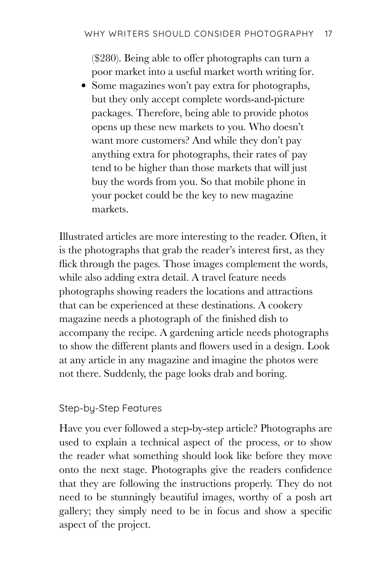(\$280). Being able to offer photographs can turn a poor market into a useful market worth writing for.

• Some magazines won't pay extra for photographs, but they only accept complete words-and-picture packages. Therefore, being able to provide photos opens up these new markets to you. Who doesn't want more customers? And while they don't pay anything extra for photographs, their rates of pay tend to be higher than those markets that will just buy the words from you. So that mobile phone in your pocket could be the key to new magazine markets.

Illustrated articles are more interesting to the reader. Often, it is the photographs that grab the reader's interest first, as they flick through the pages. Those images complement the words, while also adding extra detail. A travel feature needs photographs showing readers the locations and attractions that can be experienced at these destinations. A cookery magazine needs a photograph of the finished dish to accompany the recipe. A gardening article needs photographs to show the different plants and flowers used in a design. Look at any article in any magazine and imagine the photos were not there. Suddenly, the page looks drab and boring.

# Step-by-Step Features

Have you ever followed a step-by-step article? Photographs are used to explain a technical aspect of the process, or to show the reader what something should look like before they move onto the next stage. Photographs give the readers confidence that they are following the instructions properly. They do not need to be stunningly beautiful images, worthy of a posh art gallery; they simply need to be in focus and show a specific aspect of the project.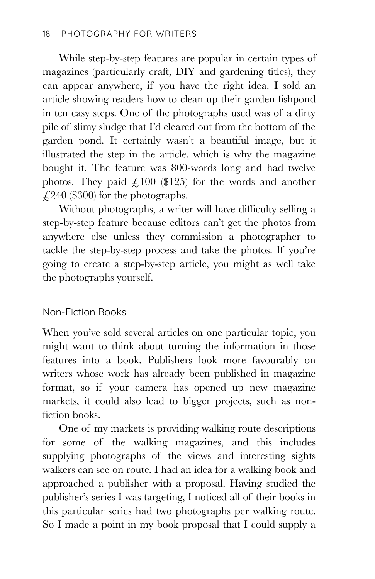While step-by-step features are popular in certain types of magazines (particularly craft, DIY and gardening titles), they can appear anywhere, if you have the right idea. I sold an article showing readers how to clean up their garden fishpond in ten easy steps. One of the photographs used was of a dirty pile of slimy sludge that I'd cleared out from the bottom of the garden pond. It certainly wasn't a beautiful image, but it illustrated the step in the article, which is why the magazine bought it. The feature was 800-words long and had twelve photos. They paid  $\angle$ 100 (\$125) for the words and another  $\angle$  (240 (\$300) for the photographs.

Without photographs, a writer will have difficulty selling a step-by-step feature because editors can't get the photos from anywhere else unless they commission a photographer to tackle the step-by-step process and take the photos. If you're going to create a step-by-step article, you might as well take the photographs yourself.

# Non-Fiction Books

When you've sold several articles on one particular topic, you might want to think about turning the information in those features into a book. Publishers look more favourably on writers whose work has already been published in magazine format, so if your camera has opened up new magazine markets, it could also lead to bigger projects, such as nonfiction books.

One of my markets is providing walking route descriptions for some of the walking magazines, and this includes supplying photographs of the views and interesting sights walkers can see on route. I had an idea for a walking book and approached a publisher with a proposal. Having studied the publisher's series I was targeting, I noticed all of their books in this particular series had two photographs per walking route. So I made a point in my book proposal that I could supply a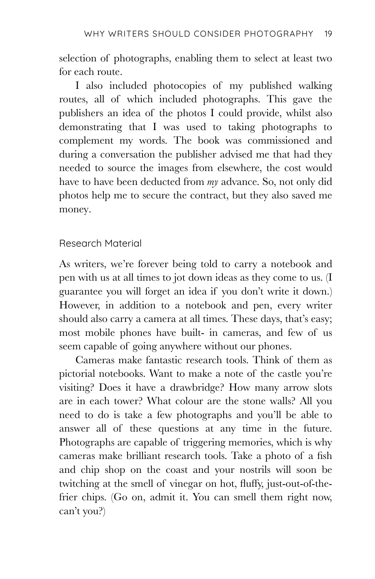selection of photographs, enabling them to select at least two for each route.

I also included photocopies of my published walking routes, all of which included photographs. This gave the publishers an idea of the photos I could provide, whilst also demonstrating that I was used to taking photographs to complement my words. The book was commissioned and during a conversation the publisher advised me that had they needed to source the images from elsewhere, the cost would have to have been deducted from *my* advance. So, not only did photos help me to secure the contract, but they also saved me money.

### Research Material

As writers, we're forever being told to carry a notebook and pen with us at all times to jot down ideas as they come to us. (I guarantee you will forget an idea if you don't write it down.) However, in addition to a notebook and pen, every writer should also carry a camera at all times. These days, that's easy; most mobile phones have built- in cameras, and few of us seem capable of going anywhere without our phones.

Cameras make fantastic research tools. Think of them as pictorial notebooks. Want to make a note of the castle you're visiting? Does it have a drawbridge? How many arrow slots are in each tower? What colour are the stone walls? All you need to do is take a few photographs and you'll be able to answer all of these questions at any time in the future. Photographs are capable of triggering memories, which is why cameras make brilliant research tools. Take a photo of a fish and chip shop on the coast and your nostrils will soon be twitching at the smell of vinegar on hot, fluffy, just-out-of-thefrier chips. (Go on, admit it. You can smell them right now, can't you?)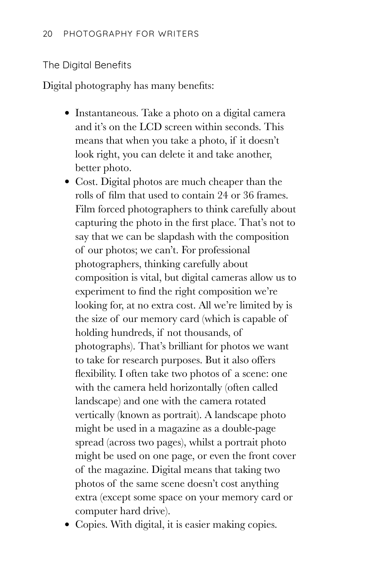#### The Digital Benefits

Digital photography has many benefits:

- Instantaneous. Take a photo on a digital camera and it's on the LCD screen within seconds. This means that when you take a photo, if it doesn't look right, you can delete it and take another, better photo.
- Cost. Digital photos are much cheaper than the rolls of film that used to contain 24 or 36 frames. Film forced photographers to think carefully about capturing the photo in the first place. That's not to say that we can be slapdash with the composition of our photos; we can't. For professional photographers, thinking carefully about composition is vital, but digital cameras allow us to experiment to find the right composition we're looking for, at no extra cost. All we're limited by is the size of our memory card (which is capable of holding hundreds, if not thousands, of photographs). That's brilliant for photos we want to take for research purposes. But it also offers flexibility. I often take two photos of a scene: one with the camera held horizontally (often called landscape) and one with the camera rotated vertically (known as portrait). A landscape photo might be used in a magazine as a double-page spread (across two pages), whilst a portrait photo might be used on one page, or even the front cover of the magazine. Digital means that taking two photos of the same scene doesn't cost anything extra (except some space on your memory card or computer hard drive).

• Copies. With digital, it is easier making copies.